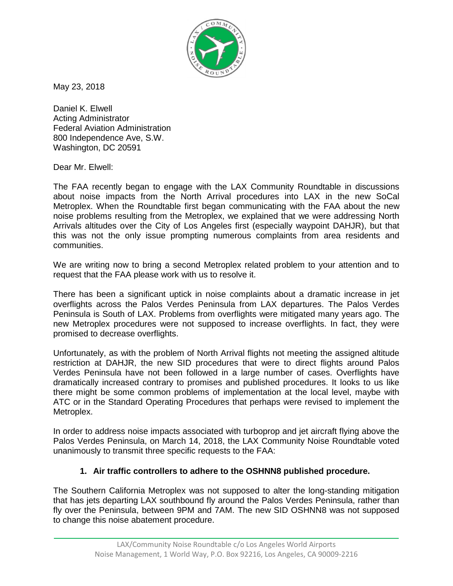

May 23, 2018

Daniel K. Elwell Acting Administrator Federal Aviation Administration 800 Independence Ave, S.W. Washington, DC 20591

Dear Mr. Elwell:

The FAA recently began to engage with the LAX Community Roundtable in discussions about noise impacts from the North Arrival procedures into LAX in the new SoCal Metroplex. When the Roundtable first began communicating with the FAA about the new noise problems resulting from the Metroplex, we explained that we were addressing North Arrivals altitudes over the City of Los Angeles first (especially waypoint DAHJR), but that this was not the only issue prompting numerous complaints from area residents and communities.

We are writing now to bring a second Metroplex related problem to your attention and to request that the FAA please work with us to resolve it.

There has been a significant uptick in noise complaints about a dramatic increase in jet overflights across the Palos Verdes Peninsula from LAX departures. The Palos Verdes Peninsula is South of LAX. Problems from overflights were mitigated many years ago. The new Metroplex procedures were not supposed to increase overflights. In fact, they were promised to decrease overflights.

Unfortunately, as with the problem of North Arrival flights not meeting the assigned altitude restriction at DAHJR, the new SID procedures that were to direct flights around Palos Verdes Peninsula have not been followed in a large number of cases. Overflights have dramatically increased contrary to promises and published procedures. It looks to us like there might be some common problems of implementation at the local level, maybe with ATC or in the Standard Operating Procedures that perhaps were revised to implement the Metroplex.

In order to address noise impacts associated with turboprop and jet aircraft flying above the Palos Verdes Peninsula, on March 14, 2018, the LAX Community Noise Roundtable voted unanimously to transmit three specific requests to the FAA:

## **1. Air traffic controllers to adhere to the OSHNN8 published procedure.**

The Southern California Metroplex was not supposed to alter the long-standing mitigation that has jets departing LAX southbound fly around the Palos Verdes Peninsula, rather than fly over the Peninsula, between 9PM and 7AM. The new SID OSHNN8 was not supposed to change this noise abatement procedure.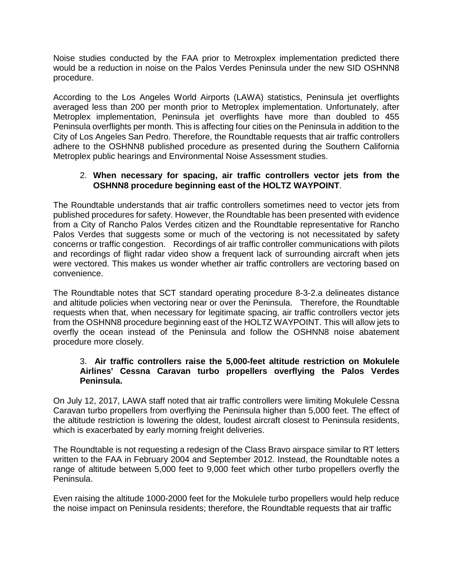Noise studies conducted by the FAA prior to Metroxplex implementation predicted there would be a reduction in noise on the Palos Verdes Peninsula under the new SID OSHNN8 procedure.

According to the Los Angeles World Airports (LAWA) statistics, Peninsula jet overflights averaged less than 200 per month prior to Metroplex implementation. Unfortunately, after Metroplex implementation, Peninsula jet overflights have more than doubled to 455 Peninsula overflights per month. This is affecting four cities on the Peninsula in addition to the City of Los Angeles San Pedro. Therefore, the Roundtable requests that air traffic controllers adhere to the OSHNN8 published procedure as presented during the Southern California Metroplex public hearings and Environmental Noise Assessment studies.

## 2. **When necessary for spacing, air traffic controllers vector jets from the OSHNN8 procedure beginning east of the HOLTZ WAYPOINT**.

The Roundtable understands that air traffic controllers sometimes need to vector jets from published procedures for safety. However, the Roundtable has been presented with evidence from a City of Rancho Palos Verdes citizen and the Roundtable representative for Rancho Palos Verdes that suggests some or much of the vectoring is not necessitated by safety concerns or traffic congestion. Recordings of air traffic controller communications with pilots and recordings of flight radar video show a frequent lack of surrounding aircraft when jets were vectored. This makes us wonder whether air traffic controllers are vectoring based on convenience.

The Roundtable notes that SCT standard operating procedure 8-3-2.a delineates distance and altitude policies when vectoring near or over the Peninsula. Therefore, the Roundtable requests when that, when necessary for legitimate spacing, air traffic controllers vector jets from the OSHNN8 procedure beginning east of the HOLTZ WAYPOINT. This will allow jets to overfly the ocean instead of the Peninsula and follow the OSHNN8 noise abatement procedure more closely.

## 3. **Air traffic controllers raise the 5,000-feet altitude restriction on Mokulele Airlines' Cessna Caravan turbo propellers overflying the Palos Verdes Peninsula.**

On July 12, 2017, LAWA staff noted that air traffic controllers were limiting Mokulele Cessna Caravan turbo propellers from overflying the Peninsula higher than 5,000 feet. The effect of the altitude restriction is lowering the oldest, loudest aircraft closest to Peninsula residents, which is exacerbated by early morning freight deliveries.

The Roundtable is not requesting a redesign of the Class Bravo airspace similar to RT letters written to the FAA in February 2004 and September 2012. Instead, the Roundtable notes a range of altitude between 5,000 feet to 9,000 feet which other turbo propellers overfly the Peninsula.

Even raising the altitude 1000-2000 feet for the Mokulele turbo propellers would help reduce the noise impact on Peninsula residents; therefore, the Roundtable requests that air traffic